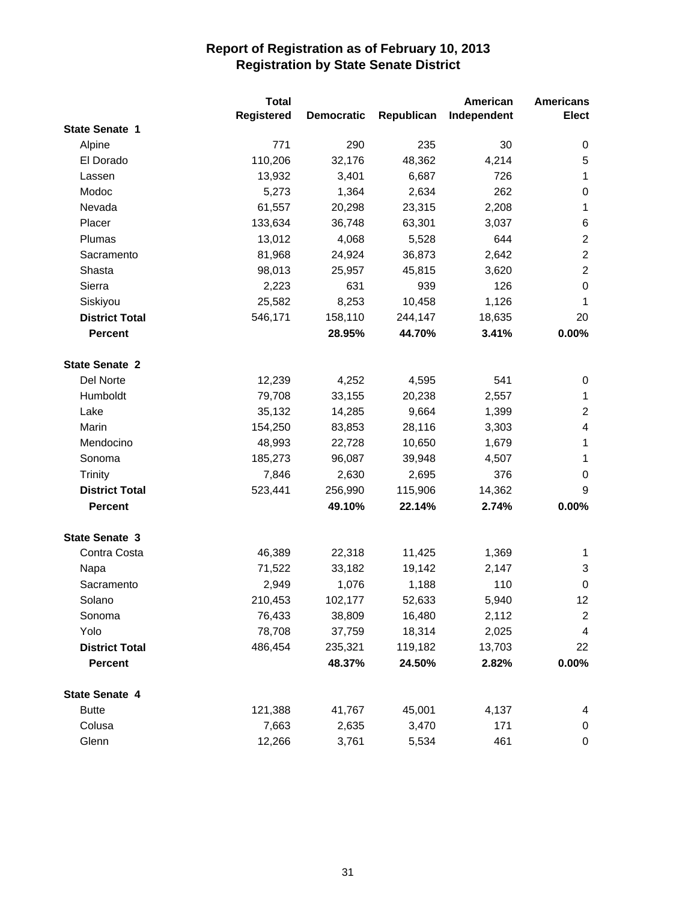|                       | <b>Total</b>      |                   |            | American    | <b>Americans</b>         |
|-----------------------|-------------------|-------------------|------------|-------------|--------------------------|
|                       | <b>Registered</b> | <b>Democratic</b> | Republican | Independent | <b>Elect</b>             |
| <b>State Senate 1</b> |                   |                   |            |             |                          |
| Alpine                | 771               | 290               | 235        | 30          | 0                        |
| El Dorado             | 110,206           | 32,176            | 48,362     | 4,214       | $\sqrt{5}$               |
| Lassen                | 13,932            | 3,401             | 6,687      | 726         | $\mathbf{1}$             |
| Modoc                 | 5,273             | 1,364             | 2,634      | 262         | $\boldsymbol{0}$         |
| Nevada                | 61,557            | 20,298            | 23,315     | 2,208       | $\mathbf 1$              |
| Placer                | 133,634           | 36,748            | 63,301     | 3,037       | 6                        |
| Plumas                | 13,012            | 4,068             | 5,528      | 644         | $\sqrt{2}$               |
| Sacramento            | 81,968            | 24,924            | 36,873     | 2,642       | $\sqrt{2}$               |
| Shasta                | 98,013            | 25,957            | 45,815     | 3,620       | $\sqrt{2}$               |
| Sierra                | 2,223             | 631               | 939        | 126         | $\boldsymbol{0}$         |
| Siskiyou              | 25,582            | 8,253             | 10,458     | 1,126       | 1                        |
| <b>District Total</b> | 546,171           | 158,110           | 244,147    | 18,635      | 20                       |
| <b>Percent</b>        |                   | 28.95%            | 44.70%     | 3.41%       | 0.00%                    |
| <b>State Senate 2</b> |                   |                   |            |             |                          |
| Del Norte             | 12,239            | 4,252             | 4,595      | 541         | $\pmb{0}$                |
| Humboldt              | 79,708            | 33,155            | 20,238     | 2,557       | 1                        |
| Lake                  | 35,132            | 14,285            | 9,664      | 1,399       | $\overline{2}$           |
| Marin                 | 154,250           | 83,853            | 28,116     | 3,303       | $\overline{\mathcal{A}}$ |
| Mendocino             | 48,993            | 22,728            | 10,650     | 1,679       | $\mathbf{1}$             |
| Sonoma                | 185,273           | 96,087            | 39,948     | 4,507       | 1                        |
| <b>Trinity</b>        | 7,846             | 2,630             | 2,695      | 376         | 0                        |
| <b>District Total</b> | 523,441           | 256,990           | 115,906    | 14,362      | 9                        |
| <b>Percent</b>        |                   | 49.10%            | 22.14%     | 2.74%       | 0.00%                    |
| <b>State Senate 3</b> |                   |                   |            |             |                          |
| Contra Costa          | 46,389            | 22,318            | 11,425     | 1,369       | 1                        |
| Napa                  | 71,522            | 33,182            | 19,142     | 2,147       | 3                        |
| Sacramento            | 2,949             | 1,076             | 1,188      | 110         | $\boldsymbol{0}$         |
| Solano                | 210,453           | 102,177           | 52,633     | 5,940       | 12                       |
| Sonoma                | 76,433            | 38,809            | 16,480     | 2,112       | 2                        |
| Yolo                  | 78,708            | 37,759            | 18,314     | 2,025       | $\overline{\mathbf{4}}$  |
| <b>District Total</b> | 486,454           | 235,321           | 119,182    | 13,703      | 22                       |
| <b>Percent</b>        |                   | 48.37%            | 24.50%     | 2.82%       | $0.00\%$                 |
| <b>State Senate 4</b> |                   |                   |            |             |                          |
| <b>Butte</b>          | 121,388           | 41,767            | 45,001     | 4,137       | 4                        |
| Colusa                | 7,663             | 2,635             | 3,470      | 171         | 0                        |
| Glenn                 | 12,266            | 3,761             | 5,534      | 461         | $\pmb{0}$                |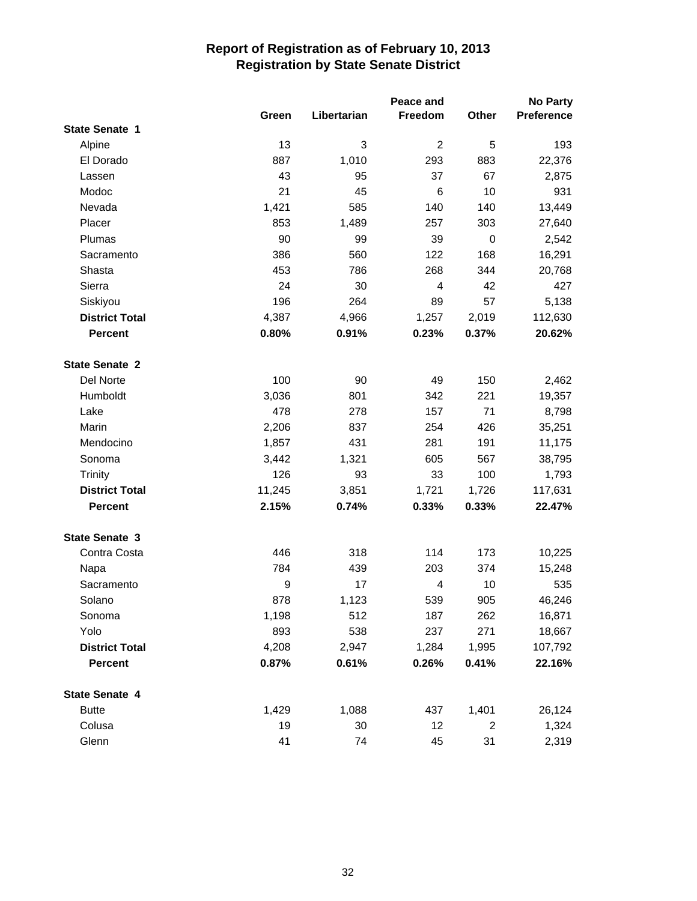|                       | Peace and |             |                |                |            |
|-----------------------|-----------|-------------|----------------|----------------|------------|
|                       | Green     | Libertarian | Freedom        | Other          | Preference |
| <b>State Senate 1</b> |           |             |                |                |            |
| Alpine                | 13        | 3           | $\overline{c}$ | 5              | 193        |
| El Dorado             | 887       | 1,010       | 293            | 883            | 22,376     |
| Lassen                | 43        | 95          | 37             | 67             | 2,875      |
| Modoc                 | 21        | 45          | 6              | 10             | 931        |
| Nevada                | 1,421     | 585         | 140            | 140            | 13,449     |
| Placer                | 853       | 1,489       | 257            | 303            | 27,640     |
| Plumas                | 90        | 99          | 39             | 0              | 2,542      |
| Sacramento            | 386       | 560         | 122            | 168            | 16,291     |
| Shasta                | 453       | 786         | 268            | 344            | 20,768     |
| Sierra                | 24        | 30          | 4              | 42             | 427        |
| Siskiyou              | 196       | 264         | 89             | 57             | 5,138      |
| <b>District Total</b> | 4,387     | 4,966       | 1,257          | 2,019          | 112,630    |
| <b>Percent</b>        | 0.80%     | 0.91%       | 0.23%          | 0.37%          | 20.62%     |
| <b>State Senate 2</b> |           |             |                |                |            |
| Del Norte             | 100       | 90          | 49             | 150            | 2,462      |
| Humboldt              | 3,036     | 801         | 342            | 221            | 19,357     |
| Lake                  | 478       | 278         | 157            | 71             | 8,798      |
| Marin                 | 2,206     | 837         | 254            | 426            | 35,251     |
| Mendocino             | 1,857     | 431         | 281            | 191            | 11,175     |
| Sonoma                | 3,442     | 1,321       | 605            | 567            | 38,795     |
| <b>Trinity</b>        | 126       | 93          | 33             | 100            | 1,793      |
| <b>District Total</b> | 11,245    | 3,851       | 1,721          | 1,726          | 117,631    |
| <b>Percent</b>        | 2.15%     | 0.74%       | 0.33%          | 0.33%          | 22.47%     |
| <b>State Senate 3</b> |           |             |                |                |            |
| Contra Costa          | 446       | 318         | 114            | 173            | 10,225     |
| Napa                  | 784       | 439         | 203            | 374            | 15,248     |
| Sacramento            | 9         | 17          | 4              | 10             | 535        |
| Solano                | 878       | 1,123       | 539            | 905            | 46,246     |
| Sonoma                | 1,198     | 512         | 187            | 262            | 16,871     |
| Yolo                  | 893       | 538         | 237            | 271            | 18,667     |
| <b>District Total</b> | 4,208     | 2,947       | 1,284          | 1,995          | 107,792    |
| <b>Percent</b>        | 0.87%     | 0.61%       | 0.26%          | 0.41%          | 22.16%     |
| <b>State Senate 4</b> |           |             |                |                |            |
| <b>Butte</b>          | 1,429     | 1,088       | 437            | 1,401          | 26,124     |
| Colusa                | 19        | 30          | 12             | $\overline{2}$ | 1,324      |
| Glenn                 | 41        | 74          | 45             | 31             | 2,319      |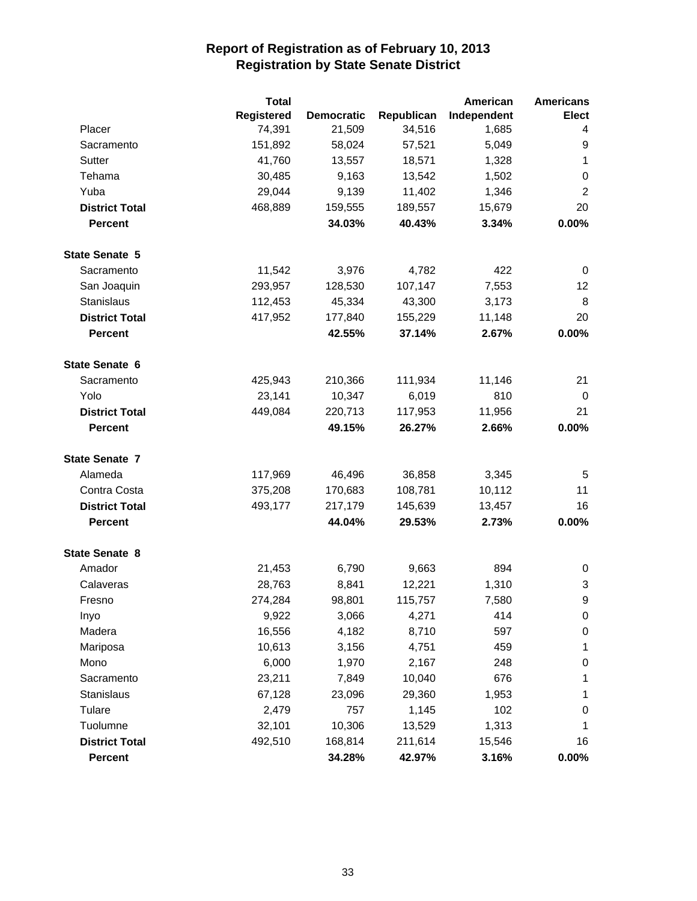|                       | <b>Total</b>      |                   |            | American    | <b>Americans</b> |
|-----------------------|-------------------|-------------------|------------|-------------|------------------|
|                       | <b>Registered</b> | <b>Democratic</b> | Republican | Independent | <b>Elect</b>     |
| Placer                | 74,391            | 21,509            | 34,516     | 1,685       | 4                |
| Sacramento            | 151,892           | 58,024            | 57,521     | 5,049       | 9                |
| Sutter                | 41,760            | 13,557            | 18,571     | 1,328       | 1                |
| Tehama                | 30,485            | 9,163             | 13,542     | 1,502       | $\pmb{0}$        |
| Yuba                  | 29,044            | 9,139             | 11,402     | 1,346       | $\overline{c}$   |
| <b>District Total</b> | 468,889           | 159,555           | 189,557    | 15,679      | 20               |
| <b>Percent</b>        |                   | 34.03%            | 40.43%     | 3.34%       | 0.00%            |
| <b>State Senate 5</b> |                   |                   |            |             |                  |
| Sacramento            | 11,542            | 3,976             | 4,782      | 422         | 0                |
| San Joaquin           | 293,957           | 128,530           | 107,147    | 7,553       | 12               |
| Stanislaus            | 112,453           | 45,334            | 43,300     | 3,173       | 8                |
| <b>District Total</b> | 417,952           | 177,840           | 155,229    | 11,148      | 20               |
| <b>Percent</b>        |                   | 42.55%            | 37.14%     | 2.67%       | 0.00%            |
| <b>State Senate 6</b> |                   |                   |            |             |                  |
| Sacramento            | 425,943           | 210,366           | 111,934    | 11,146      | 21               |
| Yolo                  | 23,141            | 10,347            | 6,019      | 810         | 0                |
| <b>District Total</b> | 449,084           | 220,713           | 117,953    | 11,956      | 21               |
| <b>Percent</b>        |                   | 49.15%            | 26.27%     | 2.66%       | 0.00%            |
| <b>State Senate 7</b> |                   |                   |            |             |                  |
| Alameda               | 117,969           | 46,496            | 36,858     | 3,345       | 5                |
| Contra Costa          | 375,208           | 170,683           | 108,781    | 10,112      | 11               |
| <b>District Total</b> | 493,177           | 217,179           | 145,639    | 13,457      | 16               |
| <b>Percent</b>        |                   | 44.04%            | 29.53%     | 2.73%       | 0.00%            |
| <b>State Senate 8</b> |                   |                   |            |             |                  |
| Amador                | 21,453            | 6,790             | 9,663      | 894         | 0                |
| Calaveras             | 28,763            | 8,841             | 12,221     | 1,310       | 3                |
| Fresno                | 274,284           | 98,801            | 115,757    | 7,580       | 9                |
| Inyo                  | 9,922             | 3,066             | 4,271      | 414         | 0                |
| Madera                | 16,556            | 4,182             | 8,710      | 597         | $\pmb{0}$        |
| Mariposa              | 10,613            | 3,156             | 4,751      | 459         | 1                |
| Mono                  | 6,000             | 1,970             | 2,167      | 248         | 0                |
| Sacramento            | 23,211            | 7,849             | 10,040     | 676         | 1                |
| Stanislaus            | 67,128            | 23,096            | 29,360     | 1,953       | 1                |
| Tulare                | 2,479             | 757               | 1,145      | 102         | 0                |
| Tuolumne              | 32,101            | 10,306            | 13,529     | 1,313       | 1                |
| <b>District Total</b> | 492,510           | 168,814           | 211,614    | 15,546      | 16               |
| <b>Percent</b>        |                   | 34.28%            | 42.97%     | 3.16%       | $0.00\%$         |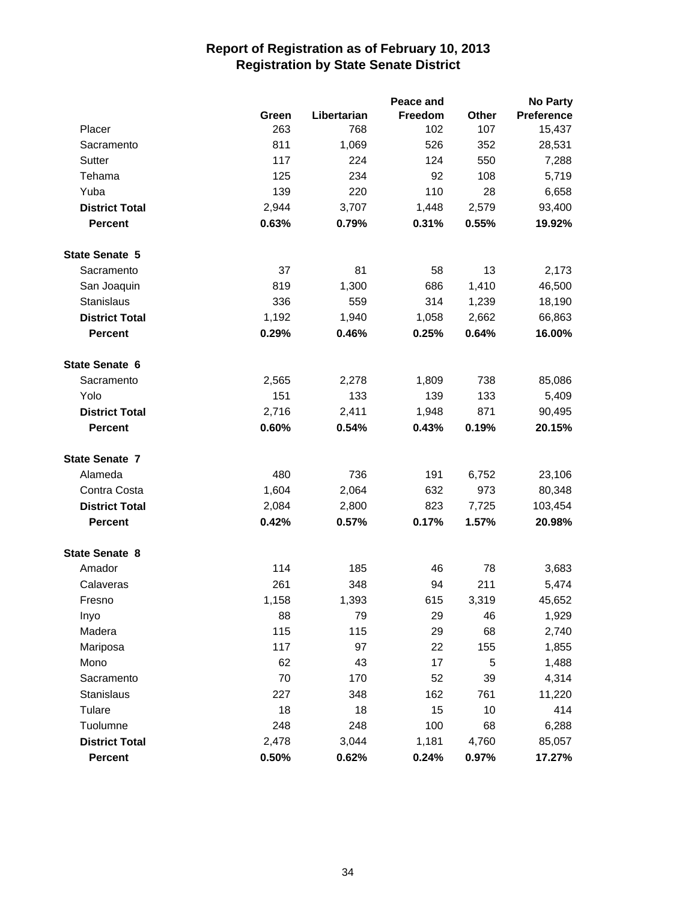|                       |       |             | Peace and      |       | <b>No Party</b>   |
|-----------------------|-------|-------------|----------------|-------|-------------------|
|                       | Green | Libertarian | <b>Freedom</b> | Other | <b>Preference</b> |
| Placer                | 263   | 768         | 102            | 107   | 15,437            |
| Sacramento            | 811   | 1,069       | 526            | 352   | 28,531            |
| Sutter                | 117   | 224         | 124            | 550   | 7,288             |
| Tehama                | 125   | 234         | 92             | 108   | 5,719             |
| Yuba                  | 139   | 220         | 110            | 28    | 6,658             |
| <b>District Total</b> | 2,944 | 3,707       | 1,448          | 2,579 | 93,400            |
| <b>Percent</b>        | 0.63% | 0.79%       | 0.31%          | 0.55% | 19.92%            |
| <b>State Senate 5</b> |       |             |                |       |                   |
| Sacramento            | 37    | 81          | 58             | 13    | 2,173             |
| San Joaquin           | 819   | 1,300       | 686            | 1,410 | 46,500            |
| Stanislaus            | 336   | 559         | 314            | 1,239 | 18,190            |
| <b>District Total</b> | 1,192 | 1,940       | 1,058          | 2,662 | 66,863            |
| <b>Percent</b>        | 0.29% | 0.46%       | 0.25%          | 0.64% | 16.00%            |
| State Senate 6        |       |             |                |       |                   |
| Sacramento            | 2,565 | 2,278       | 1,809          | 738   | 85,086            |
| Yolo                  | 151   | 133         | 139            | 133   | 5,409             |
| <b>District Total</b> | 2,716 | 2,411       | 1,948          | 871   | 90,495            |
| <b>Percent</b>        | 0.60% | 0.54%       | 0.43%          | 0.19% | 20.15%            |
| <b>State Senate 7</b> |       |             |                |       |                   |
| Alameda               | 480   | 736         | 191            | 6,752 | 23,106            |
| Contra Costa          | 1,604 | 2,064       | 632            | 973   | 80,348            |
| <b>District Total</b> | 2,084 | 2,800       | 823            | 7,725 | 103,454           |
| <b>Percent</b>        | 0.42% | 0.57%       | 0.17%          | 1.57% | 20.98%            |
| <b>State Senate 8</b> |       |             |                |       |                   |
| Amador                | 114   | 185         | 46             | 78    | 3,683             |
| Calaveras             | 261   | 348         | 94             | 211   | 5,474             |
| Fresno                | 1,158 | 1,393       | 615            | 3,319 | 45,652            |
| Inyo                  | 88    | 79          | 29             | 46    | 1,929             |
| Madera                | 115   | 115         | 29             | 68    | 2,740             |
| Mariposa              | 117   | 97          | 22             | 155   | 1,855             |
| Mono                  | 62    | 43          | 17             | 5     | 1,488             |
| Sacramento            | 70    | 170         | 52             | 39    | 4,314             |
| <b>Stanislaus</b>     | 227   | 348         | 162            | 761   | 11,220            |
| Tulare                | 18    | 18          | 15             | 10    | 414               |
| Tuolumne              | 248   | 248         | 100            | 68    | 6,288             |
| <b>District Total</b> | 2,478 | 3,044       | 1,181          | 4,760 | 85,057            |
| Percent               | 0.50% | 0.62%       | 0.24%          | 0.97% | 17.27%            |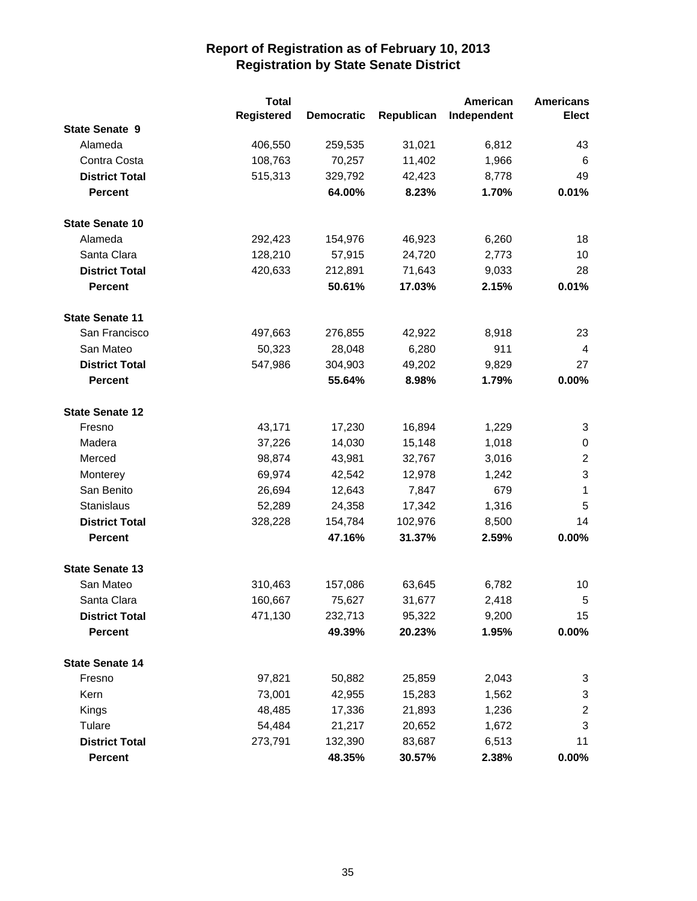|                        | <b>Total</b>      |                   |            | American    | <b>Americans</b>        |
|------------------------|-------------------|-------------------|------------|-------------|-------------------------|
|                        | <b>Registered</b> | <b>Democratic</b> | Republican | Independent | <b>Elect</b>            |
| <b>State Senate 9</b>  |                   |                   |            |             |                         |
| Alameda                | 406,550           | 259,535           | 31,021     | 6,812       | 43                      |
| Contra Costa           | 108,763           | 70,257            | 11,402     | 1,966       | 6                       |
| <b>District Total</b>  | 515,313           | 329,792           | 42,423     | 8,778       | 49                      |
| <b>Percent</b>         |                   | 64.00%            | 8.23%      | 1.70%       | 0.01%                   |
| <b>State Senate 10</b> |                   |                   |            |             |                         |
| Alameda                | 292,423           | 154,976           | 46,923     | 6,260       | 18                      |
| Santa Clara            | 128,210           | 57,915            | 24,720     | 2,773       | 10                      |
| <b>District Total</b>  | 420,633           | 212,891           | 71,643     | 9,033       | 28                      |
| <b>Percent</b>         |                   | 50.61%            | 17.03%     | 2.15%       | 0.01%                   |
| <b>State Senate 11</b> |                   |                   |            |             |                         |
| San Francisco          | 497,663           | 276,855           | 42,922     | 8,918       | 23                      |
| San Mateo              | 50,323            | 28,048            | 6,280      | 911         | 4                       |
| <b>District Total</b>  | 547,986           | 304,903           | 49,202     | 9,829       | 27                      |
| <b>Percent</b>         |                   | 55.64%            | 8.98%      | 1.79%       | 0.00%                   |
| <b>State Senate 12</b> |                   |                   |            |             |                         |
| Fresno                 | 43,171            | 17,230            | 16,894     | 1,229       | 3                       |
| Madera                 | 37,226            | 14,030            | 15,148     | 1,018       | 0                       |
| Merced                 | 98,874            | 43,981            | 32,767     | 3,016       | $\overline{2}$          |
| Monterey               | 69,974            | 42,542            | 12,978     | 1,242       | $\mathsf 3$             |
| San Benito             | 26,694            | 12,643            | 7,847      | 679         | $\mathbf{1}$            |
| Stanislaus             | 52,289            | 24,358            | 17,342     | 1,316       | 5                       |
| <b>District Total</b>  | 328,228           | 154,784           | 102,976    | 8,500       | 14                      |
| <b>Percent</b>         |                   | 47.16%            | 31.37%     | 2.59%       | 0.00%                   |
| <b>State Senate 13</b> |                   |                   |            |             |                         |
| San Mateo              | 310,463           | 157,086           | 63,645     | 6,782       | 10                      |
| Santa Clara            | 160,667           | 75,627            | 31,677     | 2,418       | 5                       |
| <b>District Total</b>  | 471,130           | 232,713           | 95,322     | 9,200       | 15                      |
| Percent                |                   | 49.39%            | 20.23%     | 1.95%       | 0.00%                   |
| <b>State Senate 14</b> |                   |                   |            |             |                         |
| Fresno                 | 97,821            | 50,882            | 25,859     | 2,043       | 3                       |
| Kern                   | 73,001            | 42,955            | 15,283     | 1,562       | 3                       |
| Kings                  | 48,485            | 17,336            | 21,893     | 1,236       | $\overline{\mathbf{c}}$ |
| Tulare                 | 54,484            | 21,217            | 20,652     | 1,672       | 3                       |
| <b>District Total</b>  | 273,791           | 132,390           | 83,687     | 6,513       | 11                      |
| Percent                |                   | 48.35%            | 30.57%     | 2.38%       | $0.00\%$                |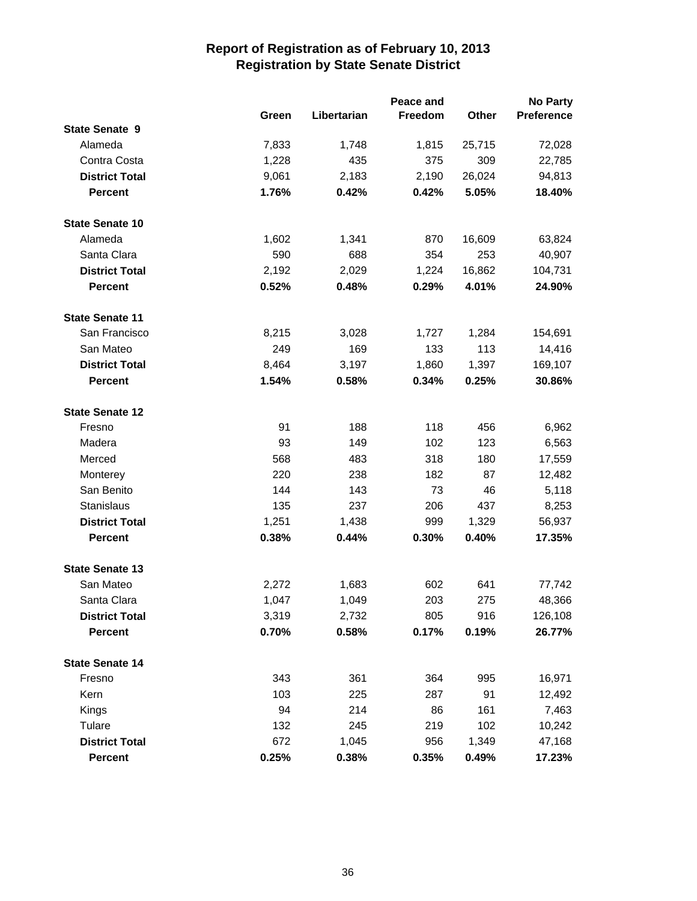|                        |       | Peace and   |         |        |            |
|------------------------|-------|-------------|---------|--------|------------|
|                        | Green | Libertarian | Freedom | Other  | Preference |
| <b>State Senate 9</b>  |       |             |         |        |            |
| Alameda                | 7,833 | 1,748       | 1,815   | 25,715 | 72,028     |
| Contra Costa           | 1,228 | 435         | 375     | 309    | 22,785     |
| <b>District Total</b>  | 9,061 | 2,183       | 2,190   | 26,024 | 94,813     |
| <b>Percent</b>         | 1.76% | 0.42%       | 0.42%   | 5.05%  | 18.40%     |
| <b>State Senate 10</b> |       |             |         |        |            |
| Alameda                | 1,602 | 1,341       | 870     | 16,609 | 63,824     |
| Santa Clara            | 590   | 688         | 354     | 253    | 40,907     |
| <b>District Total</b>  | 2,192 | 2,029       | 1,224   | 16,862 | 104,731    |
| <b>Percent</b>         | 0.52% | 0.48%       | 0.29%   | 4.01%  | 24.90%     |
| <b>State Senate 11</b> |       |             |         |        |            |
| San Francisco          | 8,215 | 3,028       | 1,727   | 1,284  | 154,691    |
| San Mateo              | 249   | 169         | 133     | 113    | 14,416     |
| <b>District Total</b>  | 8,464 | 3,197       | 1,860   | 1,397  | 169,107    |
| <b>Percent</b>         | 1.54% | 0.58%       | 0.34%   | 0.25%  | 30.86%     |
| <b>State Senate 12</b> |       |             |         |        |            |
| Fresno                 | 91    | 188         | 118     | 456    | 6,962      |
| Madera                 | 93    | 149         | 102     | 123    | 6,563      |
| Merced                 | 568   | 483         | 318     | 180    | 17,559     |
| Monterey               | 220   | 238         | 182     | 87     | 12,482     |
| San Benito             | 144   | 143         | 73      | 46     | 5,118      |
| <b>Stanislaus</b>      | 135   | 237         | 206     | 437    | 8,253      |
| <b>District Total</b>  | 1,251 | 1,438       | 999     | 1,329  | 56,937     |
| <b>Percent</b>         | 0.38% | 0.44%       | 0.30%   | 0.40%  | 17.35%     |
| <b>State Senate 13</b> |       |             |         |        |            |
| San Mateo              | 2,272 | 1,683       | 602     | 641    | 77,742     |
| Santa Clara            | 1,047 | 1,049       | 203     | 275    | 48,366     |
| <b>District Total</b>  | 3,319 | 2,732       | 805     | 916    | 126,108    |
| <b>Percent</b>         | 0.70% | 0.58%       | 0.17%   | 0.19%  | 26.77%     |
| <b>State Senate 14</b> |       |             |         |        |            |
| Fresno                 | 343   | 361         | 364     | 995    | 16,971     |
| Kern                   | 103   | 225         | 287     | 91     | 12,492     |
| Kings                  | 94    | 214         | 86      | 161    | 7,463      |
| Tulare                 | 132   | 245         | 219     | 102    | 10,242     |
| <b>District Total</b>  | 672   | 1,045       | 956     | 1,349  | 47,168     |
| Percent                | 0.25% | 0.38%       | 0.35%   | 0.49%  | 17.23%     |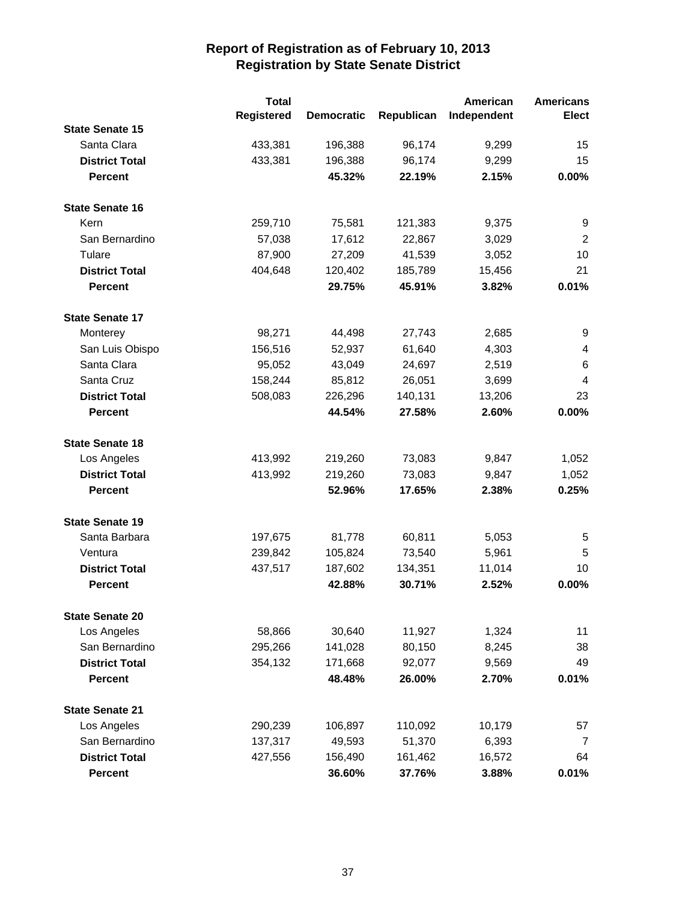|                        | <b>Total</b> |                   |            | American    | <b>Americans</b> |
|------------------------|--------------|-------------------|------------|-------------|------------------|
|                        | Registered   | <b>Democratic</b> | Republican | Independent | <b>Elect</b>     |
| <b>State Senate 15</b> |              |                   |            |             |                  |
| Santa Clara            | 433,381      | 196,388           | 96,174     | 9,299       | 15               |
| <b>District Total</b>  | 433,381      | 196,388           | 96,174     | 9,299       | 15               |
| <b>Percent</b>         |              | 45.32%            | 22.19%     | 2.15%       | 0.00%            |
| <b>State Senate 16</b> |              |                   |            |             |                  |
| Kern                   | 259,710      | 75,581            | 121,383    | 9,375       | 9                |
| San Bernardino         | 57,038       | 17,612            | 22,867     | 3,029       | $\overline{2}$   |
| Tulare                 | 87,900       | 27,209            | 41,539     | 3,052       | 10               |
| <b>District Total</b>  | 404,648      | 120,402           | 185,789    | 15,456      | 21               |
| <b>Percent</b>         |              | 29.75%            | 45.91%     | 3.82%       | 0.01%            |
| <b>State Senate 17</b> |              |                   |            |             |                  |
| Monterey               | 98,271       | 44,498            | 27,743     | 2,685       | 9                |
| San Luis Obispo        | 156,516      | 52,937            | 61,640     | 4,303       | 4                |
| Santa Clara            | 95,052       | 43,049            | 24,697     | 2,519       | 6                |
| Santa Cruz             | 158,244      | 85,812            | 26,051     | 3,699       | 4                |
| <b>District Total</b>  | 508,083      | 226,296           | 140,131    | 13,206      | 23               |
| <b>Percent</b>         |              | 44.54%            | 27.58%     | 2.60%       | 0.00%            |
| <b>State Senate 18</b> |              |                   |            |             |                  |
| Los Angeles            | 413,992      | 219,260           | 73,083     | 9,847       | 1,052            |
| <b>District Total</b>  | 413,992      | 219,260           | 73,083     | 9,847       | 1,052            |
| <b>Percent</b>         |              | 52.96%            | 17.65%     | 2.38%       | 0.25%            |
| <b>State Senate 19</b> |              |                   |            |             |                  |
| Santa Barbara          | 197,675      | 81,778            | 60,811     | 5,053       | 5                |
| Ventura                | 239,842      | 105,824           | 73,540     | 5,961       | 5                |
| <b>District Total</b>  | 437,517      | 187,602           | 134,351    | 11,014      | 10               |
| <b>Percent</b>         |              | 42.88%            | 30.71%     | 2.52%       | 0.00%            |
| <b>State Senate 20</b> |              |                   |            |             |                  |
| Los Angeles            | 58,866       | 30,640            | 11,927     | 1,324       | 11               |
| San Bernardino         | 295,266      | 141,028           | 80,150     | 8,245       | 38               |
| <b>District Total</b>  | 354,132      | 171,668           | 92,077     | 9,569       | 49               |
| <b>Percent</b>         |              | 48.48%            | 26.00%     | 2.70%       | 0.01%            |
| <b>State Senate 21</b> |              |                   |            |             |                  |
| Los Angeles            | 290,239      | 106,897           | 110,092    | 10,179      | 57               |
| San Bernardino         | 137,317      | 49,593            | 51,370     | 6,393       | 7                |
| <b>District Total</b>  | 427,556      | 156,490           | 161,462    | 16,572      | 64               |
| Percent                |              | 36.60%            | 37.76%     | 3.88%       | 0.01%            |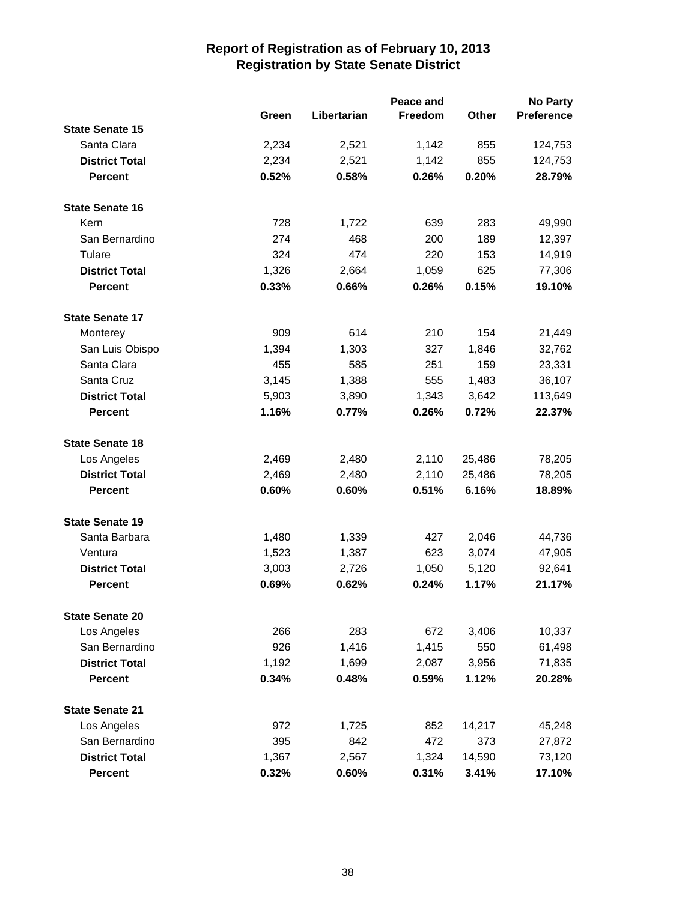|                        |       | Peace and   |         |        |            |
|------------------------|-------|-------------|---------|--------|------------|
|                        | Green | Libertarian | Freedom | Other  | Preference |
| <b>State Senate 15</b> |       |             |         |        |            |
| Santa Clara            | 2,234 | 2,521       | 1,142   | 855    | 124,753    |
| <b>District Total</b>  | 2,234 | 2,521       | 1,142   | 855    | 124,753    |
| <b>Percent</b>         | 0.52% | 0.58%       | 0.26%   | 0.20%  | 28.79%     |
| <b>State Senate 16</b> |       |             |         |        |            |
| Kern                   | 728   | 1,722       | 639     | 283    | 49,990     |
| San Bernardino         | 274   | 468         | 200     | 189    | 12,397     |
| Tulare                 | 324   | 474         | 220     | 153    | 14,919     |
| <b>District Total</b>  | 1,326 | 2,664       | 1,059   | 625    | 77,306     |
| <b>Percent</b>         | 0.33% | 0.66%       | 0.26%   | 0.15%  | 19.10%     |
| <b>State Senate 17</b> |       |             |         |        |            |
| Monterey               | 909   | 614         | 210     | 154    | 21,449     |
| San Luis Obispo        | 1,394 | 1,303       | 327     | 1,846  | 32,762     |
| Santa Clara            | 455   | 585         | 251     | 159    | 23,331     |
| Santa Cruz             | 3,145 | 1,388       | 555     | 1,483  | 36,107     |
| <b>District Total</b>  | 5,903 | 3,890       | 1,343   | 3,642  | 113,649    |
| <b>Percent</b>         | 1.16% | 0.77%       | 0.26%   | 0.72%  | 22.37%     |
| <b>State Senate 18</b> |       |             |         |        |            |
| Los Angeles            | 2,469 | 2,480       | 2,110   | 25,486 | 78,205     |
| <b>District Total</b>  | 2,469 | 2,480       | 2,110   | 25,486 | 78,205     |
| <b>Percent</b>         | 0.60% | 0.60%       | 0.51%   | 6.16%  | 18.89%     |
| <b>State Senate 19</b> |       |             |         |        |            |
| Santa Barbara          | 1,480 | 1,339       | 427     | 2,046  | 44,736     |
| Ventura                | 1,523 | 1,387       | 623     | 3,074  | 47,905     |
| <b>District Total</b>  | 3,003 | 2,726       | 1,050   | 5,120  | 92,641     |
| <b>Percent</b>         | 0.69% | 0.62%       | 0.24%   | 1.17%  | 21.17%     |
| <b>State Senate 20</b> |       |             |         |        |            |
| Los Angeles            | 266   | 283         | 672     | 3,406  | 10,337     |
| San Bernardino         | 926   | 1,416       | 1,415   | 550    | 61,498     |
| <b>District Total</b>  | 1,192 | 1,699       | 2,087   | 3,956  | 71,835     |
| <b>Percent</b>         | 0.34% | 0.48%       | 0.59%   | 1.12%  | 20.28%     |
| <b>State Senate 21</b> |       |             |         |        |            |
| Los Angeles            | 972   | 1,725       | 852     | 14,217 | 45,248     |
| San Bernardino         | 395   | 842         | 472     | 373    | 27,872     |
| <b>District Total</b>  | 1,367 | 2,567       | 1,324   | 14,590 | 73,120     |
| <b>Percent</b>         | 0.32% | 0.60%       | 0.31%   | 3.41%  | 17.10%     |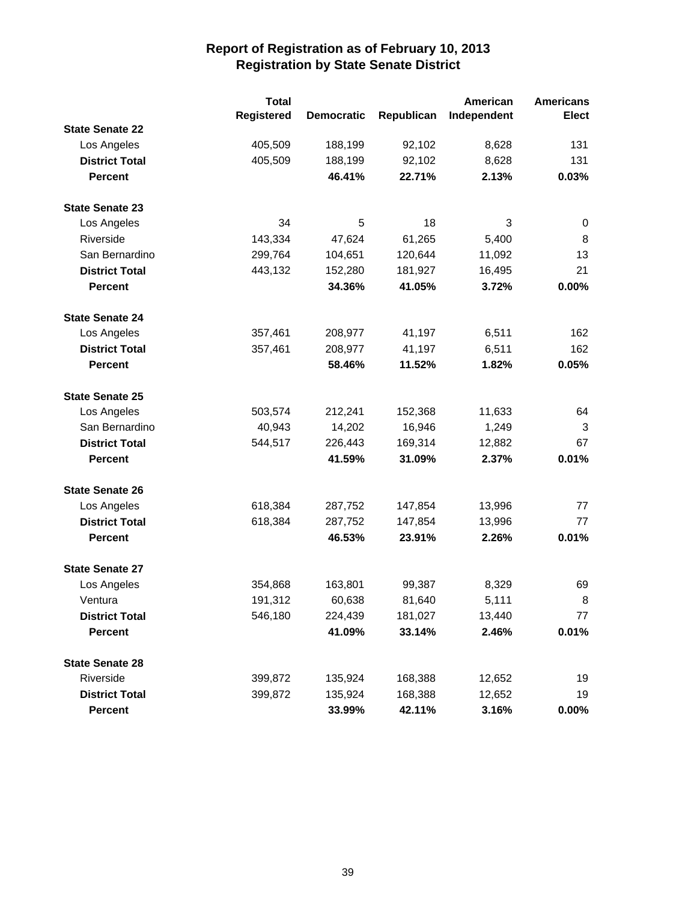|                        | <b>Total</b>      |                   |            | American    | <b>Americans</b> |
|------------------------|-------------------|-------------------|------------|-------------|------------------|
|                        | <b>Registered</b> | <b>Democratic</b> | Republican | Independent | <b>Elect</b>     |
| <b>State Senate 22</b> |                   |                   |            |             |                  |
| Los Angeles            | 405,509           | 188,199           | 92,102     | 8,628       | 131              |
| <b>District Total</b>  | 405,509           | 188,199           | 92,102     | 8,628       | 131              |
| <b>Percent</b>         |                   | 46.41%            | 22.71%     | 2.13%       | 0.03%            |
| <b>State Senate 23</b> |                   |                   |            |             |                  |
| Los Angeles            | 34                | 5                 | 18         | 3           | 0                |
| Riverside              | 143,334           | 47,624            | 61,265     | 5,400       | 8                |
| San Bernardino         | 299,764           | 104,651           | 120,644    | 11,092      | 13               |
| <b>District Total</b>  | 443,132           | 152,280           | 181,927    | 16,495      | 21               |
| <b>Percent</b>         |                   | 34.36%            | 41.05%     | 3.72%       | 0.00%            |
| <b>State Senate 24</b> |                   |                   |            |             |                  |
| Los Angeles            | 357,461           | 208,977           | 41,197     | 6,511       | 162              |
| <b>District Total</b>  | 357,461           | 208,977           | 41,197     | 6,511       | 162              |
| <b>Percent</b>         |                   | 58.46%            | 11.52%     | 1.82%       | 0.05%            |
| <b>State Senate 25</b> |                   |                   |            |             |                  |
| Los Angeles            | 503,574           | 212,241           | 152,368    | 11,633      | 64               |
| San Bernardino         | 40,943            | 14,202            | 16,946     | 1,249       | 3                |
| <b>District Total</b>  | 544,517           | 226,443           | 169,314    | 12,882      | 67               |
| <b>Percent</b>         |                   | 41.59%            | 31.09%     | 2.37%       | 0.01%            |
| <b>State Senate 26</b> |                   |                   |            |             |                  |
| Los Angeles            | 618,384           | 287,752           | 147,854    | 13,996      | 77               |
| <b>District Total</b>  | 618,384           | 287,752           | 147,854    | 13,996      | 77               |
| <b>Percent</b>         |                   | 46.53%            | 23.91%     | 2.26%       | 0.01%            |
| <b>State Senate 27</b> |                   |                   |            |             |                  |
| Los Angeles            | 354,868           | 163,801           | 99,387     | 8,329       | 69               |
| Ventura                | 191,312           | 60,638            | 81,640     | 5,111       | 8                |
| <b>District Total</b>  | 546,180           | 224,439           | 181,027    | 13,440      | 77               |
| <b>Percent</b>         |                   | 41.09%            | 33.14%     | 2.46%       | 0.01%            |
| <b>State Senate 28</b> |                   |                   |            |             |                  |
| Riverside              | 399,872           | 135,924           | 168,388    | 12,652      | 19               |
| <b>District Total</b>  | 399,872           | 135,924           | 168,388    | 12,652      | 19               |
| Percent                |                   | 33.99%            | 42.11%     | 3.16%       | $0.00\%$         |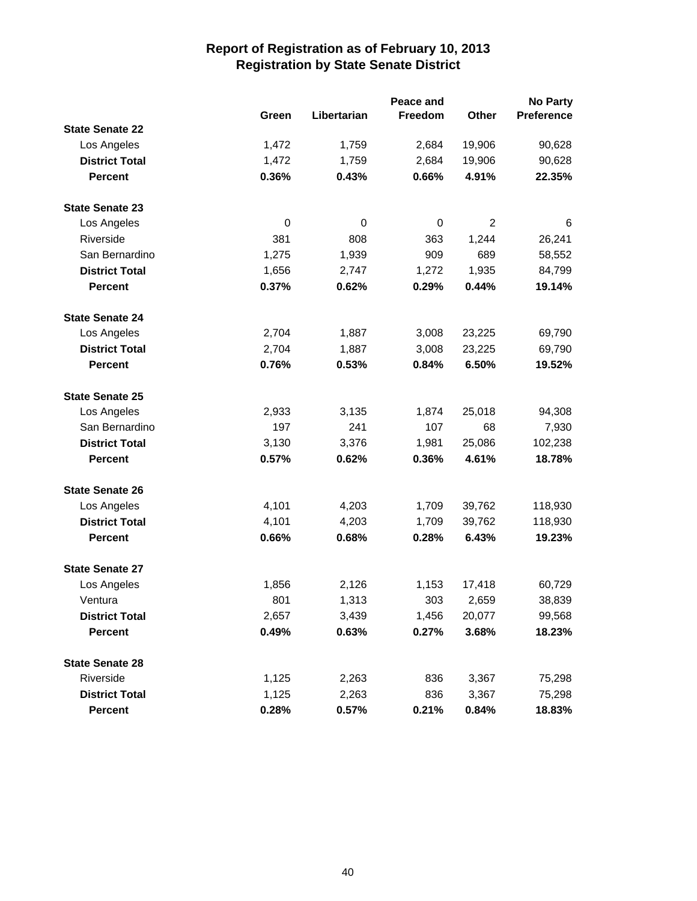|                        |       |             | Peace and |                | <b>No Party</b> |
|------------------------|-------|-------------|-----------|----------------|-----------------|
|                        | Green | Libertarian | Freedom   | Other          | Preference      |
| <b>State Senate 22</b> |       |             |           |                |                 |
| Los Angeles            | 1,472 | 1,759       | 2,684     | 19,906         | 90,628          |
| <b>District Total</b>  | 1,472 | 1,759       | 2,684     | 19,906         | 90,628          |
| <b>Percent</b>         | 0.36% | 0.43%       | 0.66%     | 4.91%          | 22.35%          |
| <b>State Senate 23</b> |       |             |           |                |                 |
| Los Angeles            | 0     | 0           | 0         | $\overline{2}$ | 6               |
| Riverside              | 381   | 808         | 363       | 1,244          | 26,241          |
| San Bernardino         | 1,275 | 1,939       | 909       | 689            | 58,552          |
| <b>District Total</b>  | 1,656 | 2,747       | 1,272     | 1,935          | 84,799          |
| <b>Percent</b>         | 0.37% | 0.62%       | 0.29%     | 0.44%          | 19.14%          |
| <b>State Senate 24</b> |       |             |           |                |                 |
| Los Angeles            | 2,704 | 1,887       | 3,008     | 23,225         | 69,790          |
| <b>District Total</b>  | 2,704 | 1,887       | 3,008     | 23,225         | 69,790          |
| <b>Percent</b>         | 0.76% | 0.53%       | 0.84%     | 6.50%          | 19.52%          |
| <b>State Senate 25</b> |       |             |           |                |                 |
| Los Angeles            | 2,933 | 3,135       | 1,874     | 25,018         | 94,308          |
| San Bernardino         | 197   | 241         | 107       | 68             | 7,930           |
| <b>District Total</b>  | 3,130 | 3,376       | 1,981     | 25,086         | 102,238         |
| <b>Percent</b>         | 0.57% | 0.62%       | 0.36%     | 4.61%          | 18.78%          |
| <b>State Senate 26</b> |       |             |           |                |                 |
| Los Angeles            | 4,101 | 4,203       | 1,709     | 39,762         | 118,930         |
| <b>District Total</b>  | 4,101 | 4,203       | 1,709     | 39,762         | 118,930         |
| <b>Percent</b>         | 0.66% | 0.68%       | 0.28%     | 6.43%          | 19.23%          |
| <b>State Senate 27</b> |       |             |           |                |                 |
| Los Angeles            | 1,856 | 2,126       | 1,153     | 17,418         | 60,729          |
| Ventura                | 801   | 1,313       | 303       | 2,659          | 38,839          |
| <b>District Total</b>  | 2,657 | 3,439       | 1,456     | 20,077         | 99,568          |
| <b>Percent</b>         | 0.49% | 0.63%       | 0.27%     | 3.68%          | 18.23%          |
| <b>State Senate 28</b> |       |             |           |                |                 |
| Riverside              | 1,125 | 2,263       | 836       | 3,367          | 75,298          |
| <b>District Total</b>  | 1,125 | 2,263       | 836       | 3,367          | 75,298          |
| Percent                | 0.28% | 0.57%       | 0.21%     | 0.84%          | 18.83%          |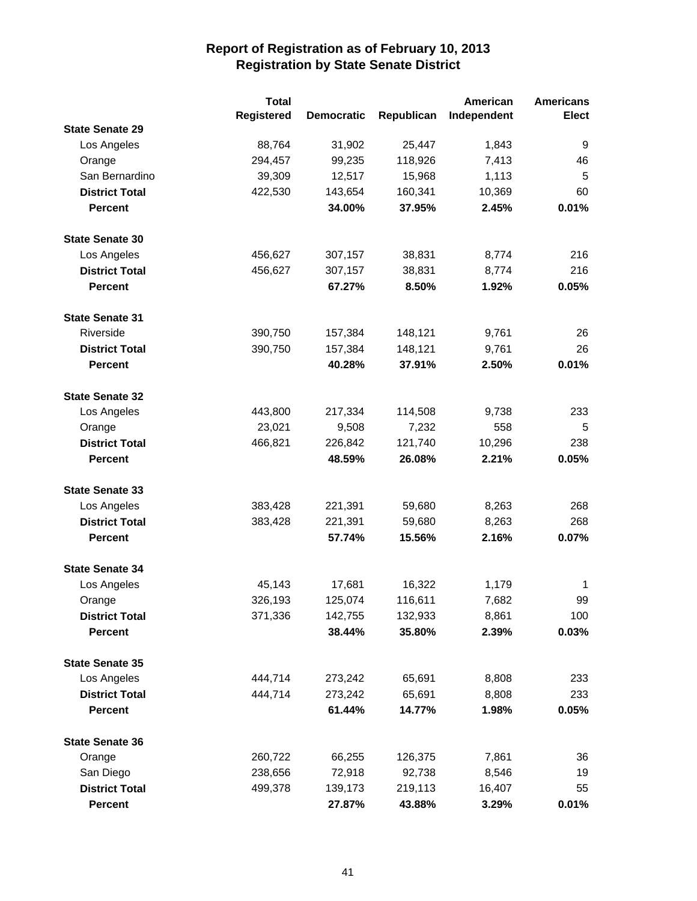|                        | <b>Total</b> |                   |            | American    | <b>Americans</b> |
|------------------------|--------------|-------------------|------------|-------------|------------------|
|                        | Registered   | <b>Democratic</b> | Republican | Independent | <b>Elect</b>     |
| <b>State Senate 29</b> |              |                   |            |             |                  |
| Los Angeles            | 88,764       | 31,902            | 25,447     | 1,843       | 9                |
| Orange                 | 294,457      | 99,235            | 118,926    | 7,413       | 46               |
| San Bernardino         | 39,309       | 12,517            | 15,968     | 1,113       | 5                |
| <b>District Total</b>  | 422,530      | 143,654           | 160,341    | 10,369      | 60               |
| <b>Percent</b>         |              | 34.00%            | 37.95%     | 2.45%       | 0.01%            |
| <b>State Senate 30</b> |              |                   |            |             |                  |
| Los Angeles            | 456,627      | 307,157           | 38,831     | 8,774       | 216              |
| <b>District Total</b>  | 456,627      | 307,157           | 38,831     | 8,774       | 216              |
| <b>Percent</b>         |              | 67.27%            | 8.50%      | 1.92%       | 0.05%            |
| <b>State Senate 31</b> |              |                   |            |             |                  |
| Riverside              | 390,750      | 157,384           | 148,121    | 9,761       | 26               |
| <b>District Total</b>  | 390,750      | 157,384           | 148,121    | 9,761       | 26               |
| <b>Percent</b>         |              | 40.28%            | 37.91%     | 2.50%       | 0.01%            |
| <b>State Senate 32</b> |              |                   |            |             |                  |
| Los Angeles            | 443,800      | 217,334           | 114,508    | 9,738       | 233              |
| Orange                 | 23,021       | 9,508             | 7,232      | 558         | 5                |
| <b>District Total</b>  | 466,821      | 226,842           | 121,740    | 10,296      | 238              |
| <b>Percent</b>         |              | 48.59%            | 26.08%     | 2.21%       | 0.05%            |
| <b>State Senate 33</b> |              |                   |            |             |                  |
| Los Angeles            | 383,428      | 221,391           | 59,680     | 8,263       | 268              |
| <b>District Total</b>  | 383,428      | 221,391           | 59,680     | 8,263       | 268              |
| <b>Percent</b>         |              | 57.74%            | 15.56%     | 2.16%       | 0.07%            |
| <b>State Senate 34</b> |              |                   |            |             |                  |
| Los Angeles            | 45,143       | 17,681            | 16,322     | 1,179       | $\mathbf 1$      |
| Orange                 | 326,193      | 125,074           | 116,611    | 7,682       | 99               |
| <b>District Total</b>  | 371,336      | 142,755           | 132,933    | 8,861       | 100              |
| <b>Percent</b>         |              | 38.44%            | 35.80%     | 2.39%       | 0.03%            |
| <b>State Senate 35</b> |              |                   |            |             |                  |
| Los Angeles            | 444,714      | 273,242           | 65,691     | 8,808       | 233              |
| <b>District Total</b>  | 444,714      | 273,242           | 65,691     | 8,808       | 233              |
| <b>Percent</b>         |              | 61.44%            | 14.77%     | 1.98%       | 0.05%            |
| <b>State Senate 36</b> |              |                   |            |             |                  |
| Orange                 | 260,722      | 66,255            | 126,375    | 7,861       | 36               |
| San Diego              | 238,656      | 72,918            | 92,738     | 8,546       | 19               |
| <b>District Total</b>  | 499,378      | 139,173           | 219,113    | 16,407      | 55               |
| <b>Percent</b>         |              | 27.87%            | 43.88%     | 3.29%       | 0.01%            |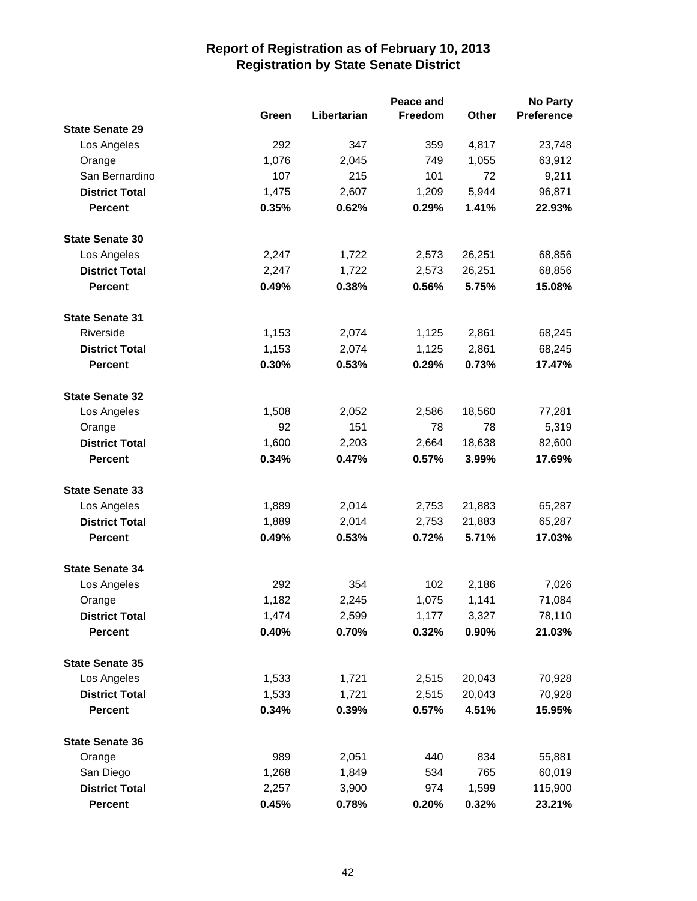|                        |       |             | Peace and |        | <b>No Party</b> |
|------------------------|-------|-------------|-----------|--------|-----------------|
|                        | Green | Libertarian | Freedom   | Other  | Preference      |
| <b>State Senate 29</b> |       |             |           |        |                 |
| Los Angeles            | 292   | 347         | 359       | 4,817  | 23,748          |
| Orange                 | 1,076 | 2,045       | 749       | 1,055  | 63,912          |
| San Bernardino         | 107   | 215         | 101       | 72     | 9,211           |
| <b>District Total</b>  | 1,475 | 2,607       | 1,209     | 5,944  | 96,871          |
| <b>Percent</b>         | 0.35% | 0.62%       | 0.29%     | 1.41%  | 22.93%          |
| <b>State Senate 30</b> |       |             |           |        |                 |
| Los Angeles            | 2,247 | 1,722       | 2,573     | 26,251 | 68,856          |
| <b>District Total</b>  | 2,247 | 1,722       | 2,573     | 26,251 | 68,856          |
| <b>Percent</b>         | 0.49% | 0.38%       | 0.56%     | 5.75%  | 15.08%          |
| <b>State Senate 31</b> |       |             |           |        |                 |
| Riverside              | 1,153 | 2,074       | 1,125     | 2,861  | 68,245          |
| <b>District Total</b>  | 1,153 | 2,074       | 1,125     | 2,861  | 68,245          |
| <b>Percent</b>         | 0.30% | 0.53%       | 0.29%     | 0.73%  | 17.47%          |
| <b>State Senate 32</b> |       |             |           |        |                 |
| Los Angeles            | 1,508 | 2,052       | 2,586     | 18,560 | 77,281          |
| Orange                 | 92    | 151         | 78        | 78     | 5,319           |
| <b>District Total</b>  | 1,600 | 2,203       | 2,664     | 18,638 | 82,600          |
| <b>Percent</b>         | 0.34% | 0.47%       | 0.57%     | 3.99%  | 17.69%          |
| <b>State Senate 33</b> |       |             |           |        |                 |
| Los Angeles            | 1,889 | 2,014       | 2,753     | 21,883 | 65,287          |
| <b>District Total</b>  | 1,889 | 2,014       | 2,753     | 21,883 | 65,287          |
| <b>Percent</b>         | 0.49% | 0.53%       | 0.72%     | 5.71%  | 17.03%          |
| <b>State Senate 34</b> |       |             |           |        |                 |
| Los Angeles            | 292   | 354         | 102       | 2,186  | 7,026           |
| Orange                 | 1,182 | 2,245       | 1,075     | 1,141  | 71,084          |
| <b>District Total</b>  | 1,474 | 2,599       | 1,177     | 3,327  | 78,110          |
| <b>Percent</b>         | 0.40% | 0.70%       | 0.32%     | 0.90%  | 21.03%          |
| <b>State Senate 35</b> |       |             |           |        |                 |
| Los Angeles            | 1,533 | 1,721       | 2,515     | 20,043 | 70,928          |
| <b>District Total</b>  | 1,533 | 1,721       | 2,515     | 20,043 | 70,928          |
| <b>Percent</b>         | 0.34% | 0.39%       | 0.57%     | 4.51%  | 15.95%          |
| <b>State Senate 36</b> |       |             |           |        |                 |
| Orange                 | 989   | 2,051       | 440       | 834    | 55,881          |
| San Diego              | 1,268 | 1,849       | 534       | 765    | 60,019          |
| <b>District Total</b>  | 2,257 | 3,900       | 974       | 1,599  | 115,900         |
| <b>Percent</b>         | 0.45% | 0.78%       | 0.20%     | 0.32%  | 23.21%          |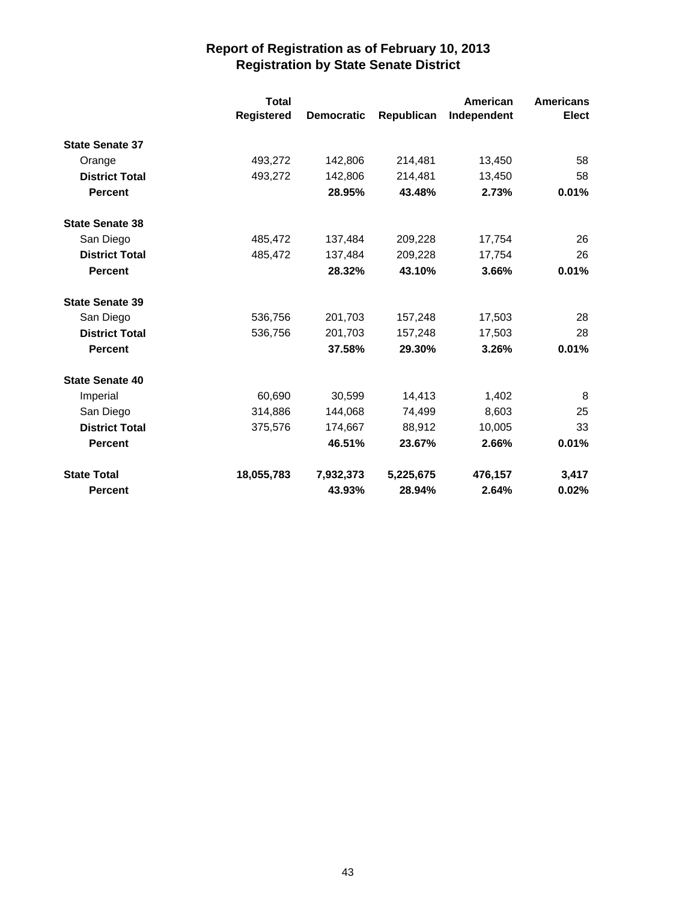|                        | <b>Total</b><br>Registered | <b>Democratic</b> | Republican | American<br>Independent | <b>Americans</b><br><b>Elect</b> |
|------------------------|----------------------------|-------------------|------------|-------------------------|----------------------------------|
| <b>State Senate 37</b> |                            |                   |            |                         |                                  |
| Orange                 | 493,272                    | 142,806           | 214,481    | 13,450                  | 58                               |
| <b>District Total</b>  | 493,272                    | 142,806           | 214,481    | 13,450                  | 58                               |
| <b>Percent</b>         |                            | 28.95%            | 43.48%     | 2.73%                   | 0.01%                            |
| <b>State Senate 38</b> |                            |                   |            |                         |                                  |
| San Diego              | 485,472                    | 137,484           | 209,228    | 17,754                  | 26                               |
| <b>District Total</b>  | 485,472                    | 137,484           | 209,228    | 17,754                  | 26                               |
| <b>Percent</b>         |                            | 28.32%            | 43.10%     | 3.66%                   | 0.01%                            |
| <b>State Senate 39</b> |                            |                   |            |                         |                                  |
| San Diego              | 536,756                    | 201,703           | 157,248    | 17,503                  | 28                               |
| <b>District Total</b>  | 536,756                    | 201,703           | 157,248    | 17,503                  | 28                               |
| <b>Percent</b>         |                            | 37.58%            | 29.30%     | 3.26%                   | 0.01%                            |
| <b>State Senate 40</b> |                            |                   |            |                         |                                  |
| Imperial               | 60,690                     | 30,599            | 14,413     | 1,402                   | 8                                |
| San Diego              | 314,886                    | 144,068           | 74,499     | 8,603                   | 25                               |
| <b>District Total</b>  | 375,576                    | 174,667           | 88.912     | 10,005                  | 33                               |
| <b>Percent</b>         |                            | 46.51%            | 23.67%     | 2.66%                   | 0.01%                            |
| <b>State Total</b>     | 18,055,783                 | 7,932,373         | 5,225,675  | 476,157                 | 3,417                            |
| <b>Percent</b>         |                            | 43.93%            | 28.94%     | 2.64%                   | 0.02%                            |